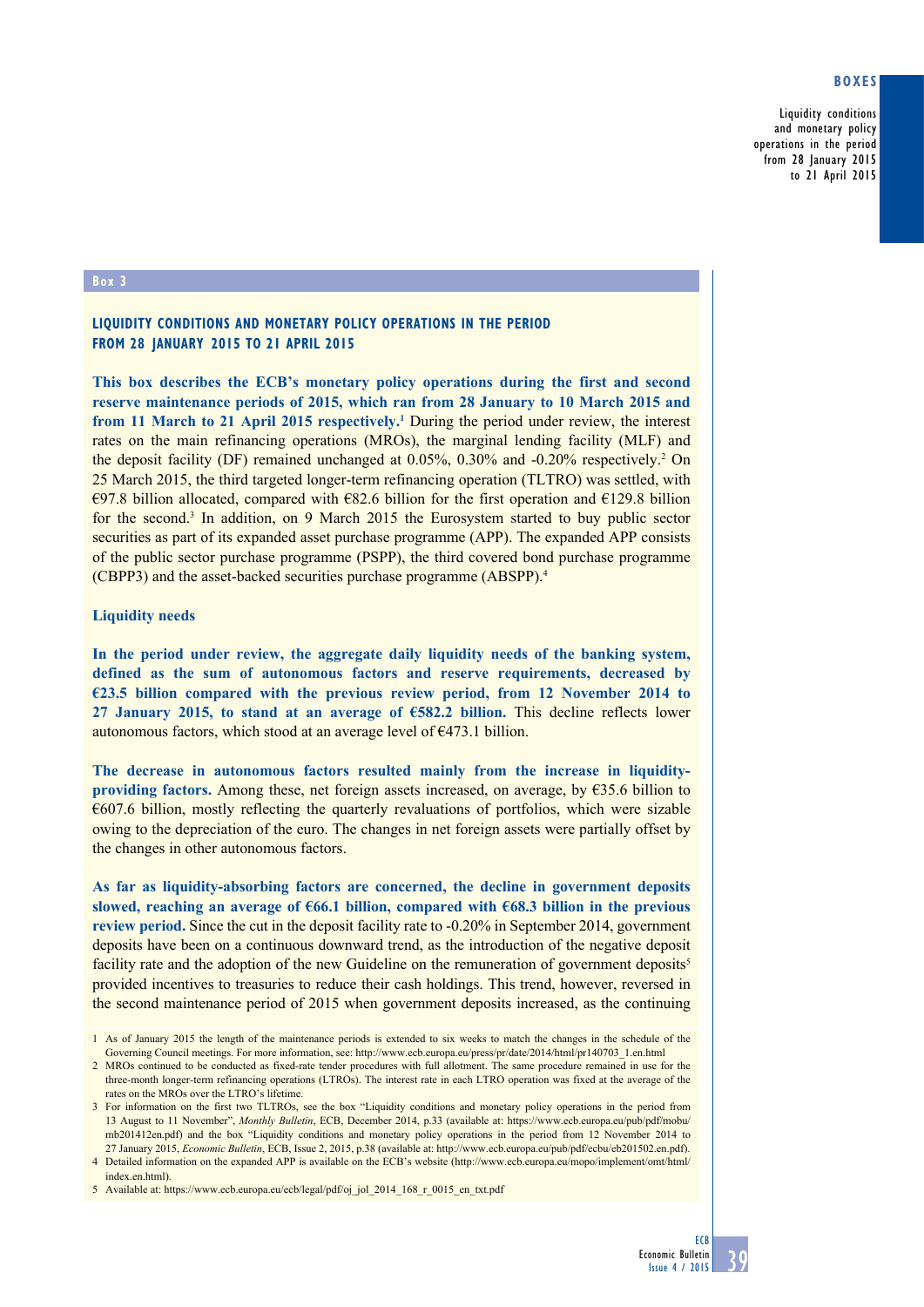# **Boxes**

Liquidity conditions and monetary policy operations in the period from 28 January 2015 to 21 April 2015

#### **Box 3**

## **Liquidity conditions and monetary policy operations in the period from 28 January 2015 to 21 April 2015**

**This box describes the ECB's monetary policy operations during the first and second reserve maintenance periods of 2015, which ran from 28 January to 10 March 2015 and**  from 11 March to 21 April 2015 respectively.<sup>1</sup> During the period under review, the interest rates on the main refinancing operations (MROs), the marginal lending facility (MLF) and the deposit facility (DF) remained unchanged at 0.05%, 0.30% and -0.20% respectively.<sup>2</sup> On 25 March 2015, the third targeted longer-term refinancing operation (TLTRO) was settled, with €97.8 billion allocated, compared with €82.6 billion for the first operation and €129.8 billion for the second.<sup>3</sup> In addition, on 9 March 2015 the Eurosystem started to buy public sector securities as part of its expanded asset purchase programme (APP). The expanded APP consists of the public sector purchase programme (PSPP), the third covered bond purchase programme (CBPP3) and the asset-backed securities purchase programme (ABSPP).4

#### **Liquidity needs**

**In the period under review, the aggregate daily liquidity needs of the banking system, defined as the sum of autonomous factors and reserve requirements, decreased by €23.5 billion compared with the previous review period, from 12 November 2014 to 27 January 2015, to stand at an average of €582.2 billion.** This decline reflects lower autonomous factors, which stood at an average level of  $\epsilon$ 473.1 billion.

**The decrease in autonomous factors resulted mainly from the increase in liquidityproviding factors.** Among these, net foreign assets increased, on average, by €35.6 billion to €607.6 billion, mostly reflecting the quarterly revaluations of portfolios, which were sizable owing to the depreciation of the euro. The changes in net foreign assets were partially offset by the changes in other autonomous factors.

**As far as liquidity-absorbing factors are concerned, the decline in government deposits slowed, reaching an average of €66.1 billion, compared with €68.3 billion in the previous review period.** Since the cut in the deposit facility rate to -0.20% in September 2014, government deposits have been on a continuous downward trend, as the introduction of the negative deposit facility rate and the adoption of the new Guideline on the remuneration of government deposits<sup>5</sup> provided incentives to treasuries to reduce their cash holdings. This trend, however, reversed in the second maintenance period of 2015 when government deposits increased, as the continuing

4 Detailed information on the expanded APP is available on the ECB's website [\(http://www.ecb.europa.eu/mopo/implement/omt/html/](http://www.ecb.europa.eu/mopo/implement/omt/html/index.en.html) [index.en.html\)](http://www.ecb.europa.eu/mopo/implement/omt/html/index.en.html).

<sup>1</sup> As of January 2015 the length of the maintenance periods is extended to six weeks to match the changes in the schedule of the Governing Council meetings. For more information, see: http://www.ecb.europa.eu/press/pr/date/2014/html/pr140703\_1.en.html

<sup>2</sup> MROs continued to be conducted as fixed-rate tender procedures with full allotment. The same procedure remained in use for the three-month longer-term refinancing operations (LTROs). The interest rate in each LTRO operation was fixed at the average of the rates on the MROs over the LTRO's lifetime.

<sup>3</sup> For information on the first two TLTROs, see the box "Liquidity conditions and monetary policy operations in the period from 13 August to 11 November", *Monthly Bulletin*, ECB, December 2014, p.33 (available at: [https://www.ecb.europa.eu/pub/pdf/mobu/](https://www.ecb.europa.eu/pub/pdf/mobu/mb201412en.pdf) [mb201412en.pdf](https://www.ecb.europa.eu/pub/pdf/mobu/mb201412en.pdf)) and the box "Liquidity conditions and monetary policy operations in the period from 12 November 2014 to 27 January 2015, *Economic Bulletin*, ECB, Issue 2, 2015, p.38 (available at: [http://www.ecb.europa.eu/pub/pdf/ecbu/eb201502.en.pdf\)](http://www.ecb.europa.eu/pub/pdf/ecbu/eb201502.en.pdf).

<sup>5</sup> Available at: https://www.ecb.europa.eu/ecb/legal/pdf/oj\_jol\_2014\_168\_r\_0015\_en\_txt.pdf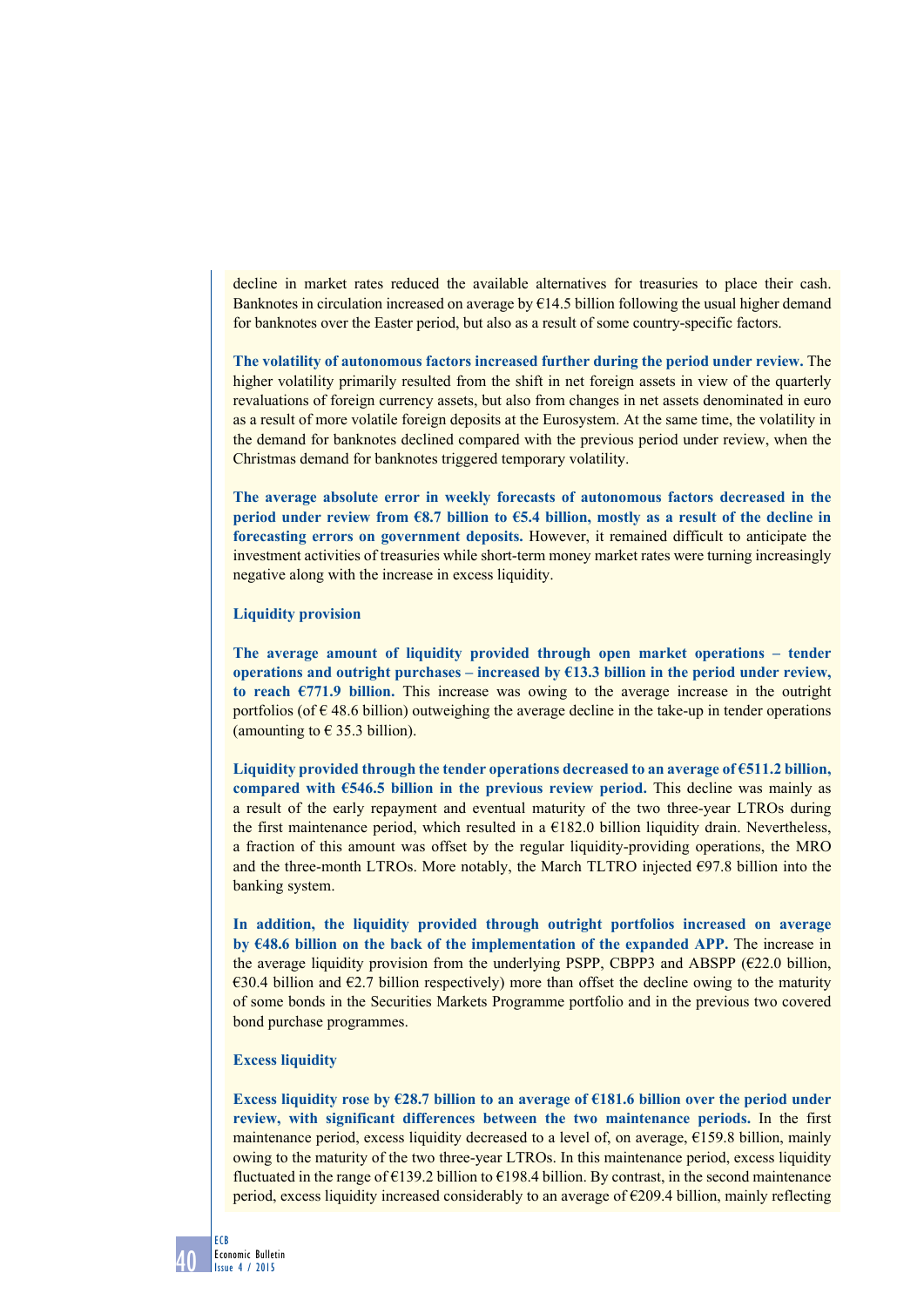decline in market rates reduced the available alternatives for treasuries to place their cash. Banknotes in circulation increased on average by  $\epsilon$ 14.5 billion following the usual higher demand for banknotes over the Easter period, but also as a result of some country-specific factors.

**The volatility of autonomous factors increased further during the period under review.** The higher volatility primarily resulted from the shift in net foreign assets in view of the quarterly revaluations of foreign currency assets, but also from changes in net assets denominated in euro as a result of more volatile foreign deposits at the Eurosystem. At the same time, the volatility in the demand for banknotes declined compared with the previous period under review, when the Christmas demand for banknotes triggered temporary volatility.

**The average absolute error in weekly forecasts of autonomous factors decreased in the period under review from €8.7 billion to €5.4 billion, mostly as a result of the decline in forecasting errors on government deposits.** However, it remained difficult to anticipate the investment activities of treasuries while short-term money market rates were turning increasingly negative along with the increase in excess liquidity.

#### **Liquidity provision**

**The average amount of liquidity provided through open market operations – tender operations and outright purchases – increased by €13.3 billion in the period under review,**  to reach  $\epsilon$ 771.9 billion. This increase was owing to the average increase in the outright portfolios (of  $\epsilon$  48.6 billion) outweighing the average decline in the take-up in tender operations (amounting to  $\epsilon$  35.3 billion).

**Liquidity provided through the tender operations decreased to an average of €511.2 billion, compared with €546.5 billion in the previous review period.** This decline was mainly as a result of the early repayment and eventual maturity of the two three-year LTROs during the first maintenance period, which resulted in a  $E182.0$  billion liquidity drain. Nevertheless, a fraction of this amount was offset by the regular liquidity-providing operations, the MRO and the three-month LTROs. More notably, the March TLTRO injected €97.8 billion into the banking system.

**In addition, the liquidity provided through outright portfolios increased on average by**  $648.6$  **billion on the back of the implementation of the expanded APP. The increase in** the average liquidity provision from the underlying PSPP, CBPP3 and ABSPP ( $E22.0$  billion, €30.4 billion and €2.7 billion respectively) more than offset the decline owing to the maturity of some bonds in the Securities Markets Programme portfolio and in the previous two covered bond purchase programmes.

### **Excess liquidity**

**Excess liquidity rose by €28.7 billion to an average of €181.6 billion over the period under review, with significant differences between the two maintenance periods.** In the first maintenance period, excess liquidity decreased to a level of, on average, €159.8 billion, mainly owing to the maturity of the two three-year LTROs. In this maintenance period, excess liquidity fluctuated in the range of  $\epsilon$ 139.2 billion to  $\epsilon$ 198.4 billion. By contrast, in the second maintenance period, excess liquidity increased considerably to an average of €209.4 billion, mainly reflecting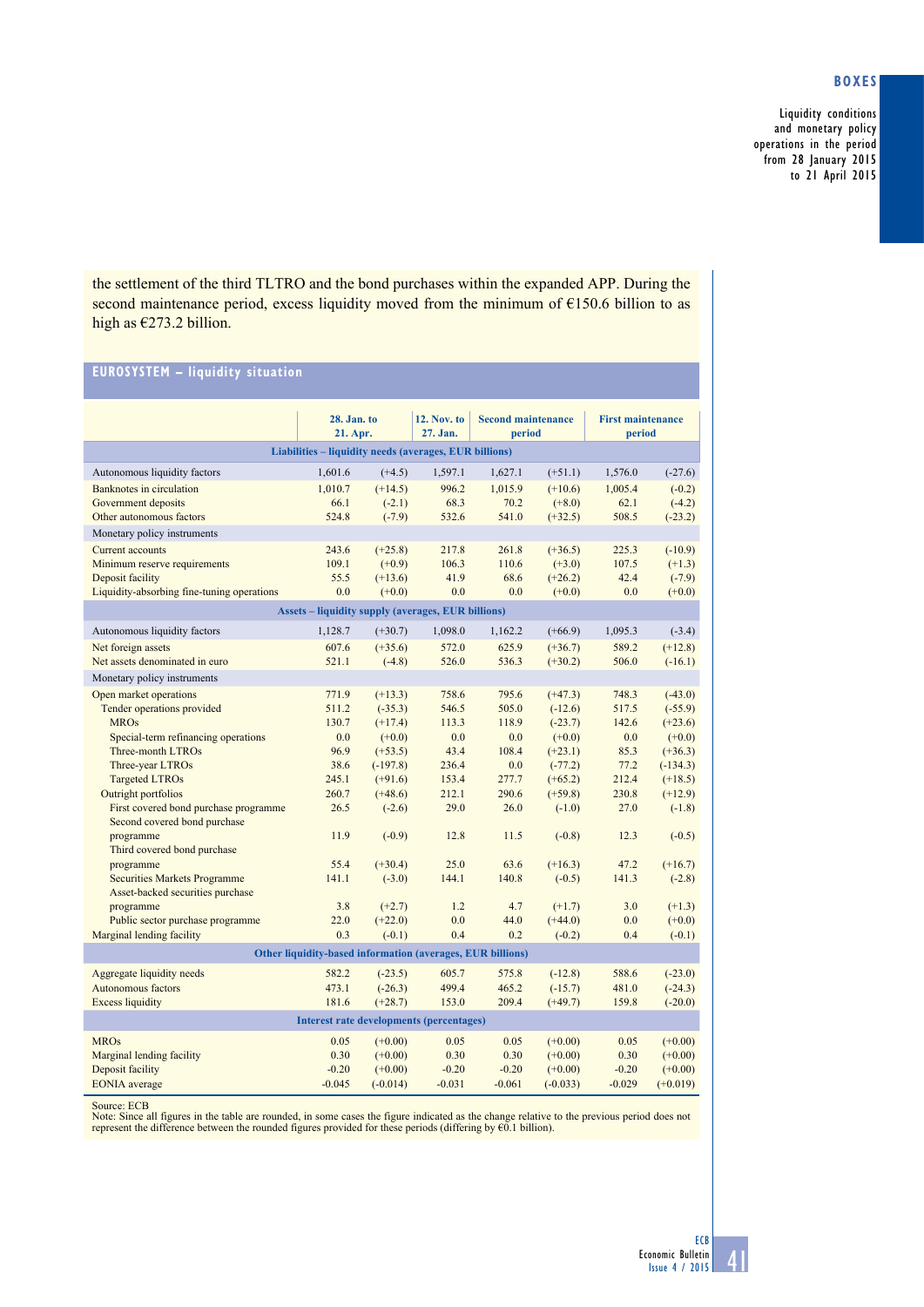# **Boxes**

Liquidity conditions and monetary policy operations in the period from 28 January 2015 to 21 April 2015

the settlement of the third TLTRO and the bond purchases within the expanded APP. During the second maintenance period, excess liquidity moved from the minimum of €150.6 billion to as high as €273.2 billion.

# **EurosystEm – liquidity situation**

|                                                               | 28. Jan. to |                       | <b>12. Nov. to</b> | <b>Second maintenance</b> |            | <b>First maintenance</b> |            |
|---------------------------------------------------------------|-------------|-----------------------|--------------------|---------------------------|------------|--------------------------|------------|
|                                                               | 21. Apr.    |                       | 27. Jan.           | period                    |            | period                   |            |
| Liabilities - liquidity needs (averages, EUR billions)        |             |                       |                    |                           |            |                          |            |
| Autonomous liquidity factors                                  | 1,601.6     | $(+4.5)$              | 1,597.1            | 1,627.1                   | $(+51.1)$  | 1,576.0                  | $(-27.6)$  |
| Banknotes in circulation                                      | 1,010.7     | $(+14.5)$             | 996.2              | 1,015.9                   | $(+10.6)$  | 1,005.4                  | $(-0.2)$   |
| Government deposits                                           | 66.1        | $(-2.1)$              | 68.3               | 70.2                      | $(+8.0)$   | 62.1                     | $(-4.2)$   |
| Other autonomous factors                                      | 524.8       | $(-7.9)$              | 532.6              | 541.0                     | $(+32.5)$  | 508.5                    | $(-23.2)$  |
| Monetary policy instruments                                   |             |                       |                    |                           |            |                          |            |
| <b>Current accounts</b>                                       | 243.6       | $(+25.8)$             | 217.8              | 261.8                     | $(+36.5)$  | 225.3                    | $(-10.9)$  |
| Minimum reserve requirements                                  | 109.1       | $(+0.9)$              | 106.3              | 110.6                     | $(+3.0)$   | 107.5                    | $(+1.3)$   |
| Deposit facility                                              | 55.5        | $(+13.6)$             | 41.9               | 68.6                      | $(+26.2)$  | 42.4                     | $(-7.9)$   |
| Liquidity-absorbing fine-tuning operations                    | 0.0         | $(+0.0)$              | 0.0                | 0.0                       | $(+0.0)$   | 0.0                      | $(+0.0)$   |
| <b>Assets - liquidity supply (averages, EUR billions)</b>     |             |                       |                    |                           |            |                          |            |
| Autonomous liquidity factors                                  | 1,128.7     | $(+30.7)$             | 1,098.0            | 1,162.2                   | $(+66.9)$  | 1,095.3                  | $(-3.4)$   |
| Net foreign assets                                            | 607.6       | $(+35.6)$             | 572.0              | 625.9                     | $(+36.7)$  | 589.2                    | $(+12.8)$  |
| Net assets denominated in euro                                | 521.1       | $(-4.8)$              | 526.0              | 536.3                     | $(+30.2)$  | 506.0                    | $(-16.1)$  |
| Monetary policy instruments                                   |             |                       |                    |                           |            |                          |            |
| Open market operations                                        | 771.9       | $(+13.3)$             | 758.6              | 795.6                     | $(+47.3)$  | 748.3                    | $(-43.0)$  |
| Tender operations provided                                    | 511.2       | $(-35.3)$             | 546.5              | 505.0                     | $(-12.6)$  | 517.5                    | $(-55.9)$  |
| <b>MROs</b>                                                   | 130.7       | $(+17.4)$             | 113.3              | 118.9                     | $(-23.7)$  | 142.6                    | $(+23.6)$  |
| Special-term refinancing operations                           | 0.0         | $(+0.0)$              | 0.0                | 0.0                       | $(+0.0)$   | 0.0                      | $(+0.0)$   |
| Three-month LTROs                                             | 96.9        | $(+53.5)$             | 43.4               | 108.4                     | $(+23.1)$  | 85.3                     | $(+36.3)$  |
| Three-year LTROs                                              | 38.6        | $(-197.8)$            | 236.4              | 0.0                       | $(-77.2)$  | 77.2                     | $(-134.3)$ |
| <b>Targeted LTROs</b>                                         | 245.1       | $(+91.6)$             | 153.4              | 277.7                     | $(+65.2)$  | 212.4                    | $(+18.5)$  |
| Outright portfolios                                           | 260.7       | $(+48.6)$             | 212.1              | 290.6                     | $(+59.8)$  | 230.8                    | $(+12.9)$  |
| First covered bond purchase programme                         | 26.5        | $(-2.6)$              | 29.0               | 26.0                      | $(-1.0)$   | 27.0                     | $(-1.8)$   |
| Second covered bond purchase                                  |             |                       |                    |                           |            |                          |            |
| programme                                                     | 11.9        | $(-0.9)$              | 12.8               | 11.5                      | $(-0.8)$   | 12.3                     | $(-0.5)$   |
| Third covered bond purchase                                   |             |                       |                    |                           |            |                          |            |
| programme                                                     | 55.4        | $(+30.4)$             | 25.0               | 63.6                      | $(+16.3)$  | 47.2                     | $(+16.7)$  |
| <b>Securities Markets Programme</b>                           | 141.1       | $(-3.0)$              | 144.1              | 140.8                     | $(-0.5)$   | 141.3                    | $(-2.8)$   |
| Asset-backed securities purchase                              |             |                       |                    |                           |            |                          |            |
| programme                                                     | 3.8         | $(+2.7)$              | 1.2<br>0.0         | 4.7                       | $(+1.7)$   | 3.0                      | $(+1.3)$   |
| Public sector purchase programme<br>Marginal lending facility | 22.0<br>0.3 | $(+22.0)$<br>$(-0.1)$ | 0.4                | 44.0<br>0.2               | $(+44.0)$  | 0.0<br>0.4               | $(+0.0)$   |
|                                                               |             |                       |                    |                           | $(-0.2)$   |                          | $(-0.1)$   |
| Other liquidity-based information (averages, EUR billions)    |             |                       |                    |                           |            |                          |            |
| Aggregate liquidity needs                                     | 582.2       | $(-23.5)$             | 605.7              | 575.8                     | $(-12.8)$  | 588.6                    | $(-23.0)$  |
| Autonomous factors                                            | 473.1       | $(-26.3)$             | 499.4              | 465.2                     | $(-15.7)$  | 481.0                    | $(-24.3)$  |
| <b>Excess liquidity</b>                                       | 181.6       | $(+28.7)$             | 153.0              | 209.4                     | $(+49.7)$  | 159.8                    | $(-20.0)$  |
| <b>Interest rate developments (percentages)</b>               |             |                       |                    |                           |            |                          |            |
| <b>MROs</b>                                                   | 0.05        | $(+0.00)$             | 0.05               | 0.05                      | $(+0.00)$  | 0.05                     | $(+0.00)$  |
| Marginal lending facility                                     | 0.30        | $(+0.00)$             | 0.30               | 0.30                      | $(+0.00)$  | 0.30                     | $(+0.00)$  |
| Deposit facility                                              | $-0.20$     | $(+0.00)$             | $-0.20$            | $-0.20$                   | $(+0.00)$  | $-0.20$                  | $(+0.00)$  |
| <b>EONIA</b> average                                          | $-0.045$    | $(-0.014)$            | $-0.031$           | $-0.061$                  | $(-0.033)$ | $-0.029$                 | $(+0.019)$ |

Source: ECB<br>Note: Since all figures in the table are rounded, in some cases the figure indicated as the change relative to the previous period does not<br>Note: Since all figures in the tounded figures provided for these peri